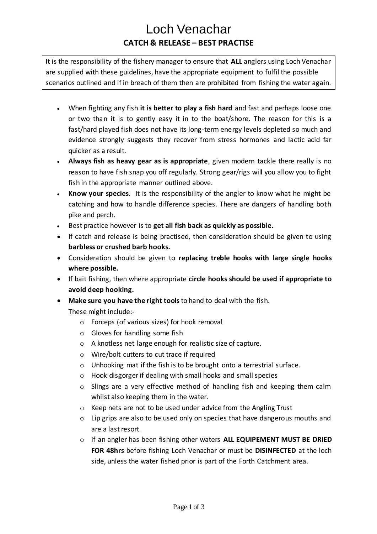## Loch Venachar **CATCH & RELEASE – BEST PRACTISE**

It is the responsibility of the fishery manager to ensure that **ALL** anglers using Loch Venachar are supplied with these guidelines, have the appropriate equipment to fulfil the possible scenarios outlined and if in breach of them then are prohibited from fishing the water again.

- When fighting any fish **it is better to play a fish hard** and fast and perhaps loose one or two than it is to gently easy it in to the boat/shore. The reason for this is a fast/hard played fish does not have its long-term energy levels depleted so much and evidence strongly suggests they recover from stress hormones and lactic acid far quicker as a result.
- **Always fish as heavy gear as is appropriate**, given modern tackle there really is no reason to have fish snap you off regularly. Strong gear/rigs will you allow you to fight fish in the appropriate manner outlined above.
- **Know your species**. It is the responsibility of the angler to know what he might be catching and how to handle difference species. There are dangers of handling both pike and perch.
- Best practice however is to **get all fish back as quickly as possible.**
- If catch and release is being practised, then consideration should be given to using **barbless or crushed barb hooks.**
- Consideration should be given to **replacing treble hooks with large single hooks where possible.**
- If bait fishing, then where appropriate **circle hooks should be used if appropriate to avoid deep hooking.**
- **Make sure you have the right tools**to hand to deal with the fish. These might include:
	- o Forceps (of various sizes) for hook removal
	- o Gloves for handling some fish
	- o A knotless net large enough for realistic size of capture.
	- o Wire/bolt cutters to cut trace if required
	- o Unhooking mat if the fish is to be brought onto a terrestrial surface.
	- o Hook disgorger if dealing with small hooks and small species
	- o Slings are a very effective method of handling fish and keeping them calm whilst also keeping them in the water.
	- o Keep nets are not to be used under advice from the Angling Trust
	- o Lip grips are also to be used only on species that have dangerous mouths and are a last resort.
	- o If an angler has been fishing other waters **ALL EQUIPEMENT MUST BE DRIED FOR 48hrs** before fishing Loch Venachar or must be **DISINFECTED** at the loch side, unless the water fished prior is part of the Forth Catchment area.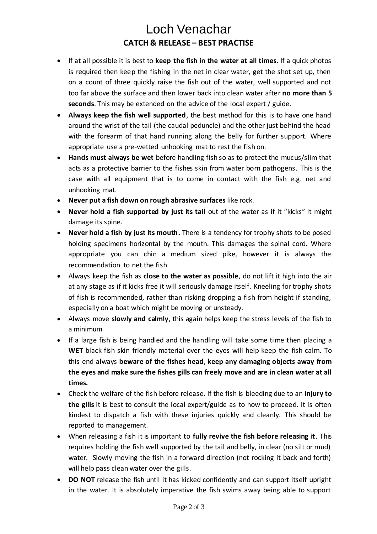## Loch Venachar **CATCH & RELEASE – BEST PRACTISE**

- If at all possible it is best to **keep the fish in the water at all times**. If a quick photos is required then keep the fishing in the net in clear water, get the shot set up, then on a count of three quickly raise the fish out of the water, well supported and not too far above the surface and then lower back into clean water after **no more than 5 seconds**. This may be extended on the advice of the local expert / guide.
- **Always keep the fish well supported**, the best method for this is to have one hand around the wrist of the tail (the caudal peduncle) and the other just behind the head with the forearm of that hand running along the belly for further support. Where appropriate use a pre-wetted unhooking mat to rest the fish on.
- **Hands must always be wet** before handling fish so as to protect the mucus/slim that acts as a protective barrier to the fishes skin from water born pathogens. This is the case with all equipment that is to come in contact with the fish e.g. net and unhooking mat.
- **Never put a fish down on rough abrasive surfaces** like rock.
- **Never hold a fish supported by just its tail** out of the water as if it "kicks" it might damage its spine.
- **Never hold a fish by just its mouth.** There is a tendency for trophy shots to be posed holding specimens horizontal by the mouth. This damages the spinal cord. Where appropriate you can chin a medium sized pike, however it is always the recommendation to net the fish.
- Always keep the fish as **close to the water as possible**, do not lift it high into the air at any stage as if it kicks free it will seriously damage itself. Kneeling for trophy shots of fish is recommended, rather than risking dropping a fish from height if standing, especially on a boat which might be moving or unsteady.
- Always move **slowly and calmly**, this again helps keep the stress levels of the fish to a minimum.
- If a large fish is being handled and the handling will take some time then placing a **WET** black fish skin friendly material over the eyes will help keep the fish calm. To this end always **beware of the fishes head**, **keep any damaging objects away from the eyes and make sure the fishes gills can freely move and are in clean water at all times.**
- Check the welfare of the fish before release. If the fish is bleeding due to an **injury to the gills** it is best to consult the local expert/guide as to how to proceed. It is often kindest to dispatch a fish with these injuries quickly and cleanly. This should be reported to management.
- When releasing a fish it is important to **fully revive the fish before releasing it**. This requires holding the fish well supported by the tail and belly, in clear (no silt or mud) water. Slowly moving the fish in a forward direction (not rocking it back and forth) will help pass clean water over the gills.
- **DO NOT** release the fish until it has kicked confidently and can support itself upright in the water. It is absolutely imperative the fish swims away being able to support